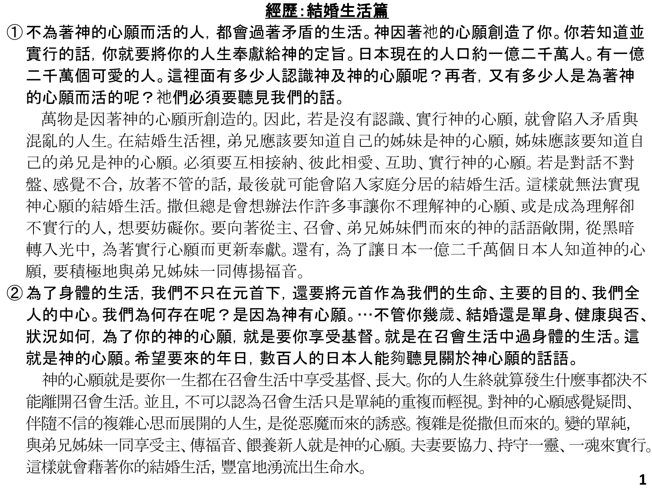## 經歷:結婚生活篇

①不為著神的心願而活的人,都會過著矛盾的生活。神因著祂的心願創造了你。你若知道並 實行的話,你就要將你的人生奉獻給神的定旨。日本現在的人口約一億二千萬人。有一億 二千萬個可愛的人。這裡面有多少人認識神及神的心願呢?再者,又有多少人是為著神 的心願而活的呢?祂們必須要聽見我們的話。

萬物是因著神的心願所創造的。因此,若是沒有認識、實行神的心願,就會陷入矛盾與 混亂的人生。在結婚生活裡,弟兄應該要知道自己的姊妹是神的心願,姊妹應該要知道自 己的弟兄是神的心願。必須要互相接納、彼此相愛、互助、實行神的心願。若是對話不對 盤、感覺不合,放著不管的話,最後就可能會陷入家庭分居的結婚生活。這樣就無法實現 神心願的結婚生活。撒但總是會想辦法作許多事讓你不理解神的心願、或是成為理解卻 不實行的人,想要妨礙你。要向著從主、召會、弟兄姊妹們而來的神的話語敞開,從黑暗 轉入光中,為著實行心願而更新奉獻。還有,為了讓日本一億二千萬個日本人知道神的心 願,要積極地與弟兄姊妹一同傳揚福音。

②為了身體的生活,我們不只在元首下,還要將元首作為我們的生命、主要的目的、我們全 人的中心。我們為何存在呢?是因為神有心願。…不管你幾歲、結婚還是單身、健康與否、 狀況如何,為了你的神的心願,就是要你享受基督。就是在召會生活中過身體的生活。這 就是神的心願。希望要來的年日,數百人的日本人能夠聽見關於神心願的話語。

神的心願就是要你一生都在召會生活中享受基督、長大。你的人生終就算發生什麼事都決不 能離開召會生活。並且,不可以認為召會生活只是單純的重複而輕視。對神的心願感覺疑問、 伴隨不信的複雜心思而展開的人生,是從惡魔而來的誘惑。複雜是從撒但而來的。變的單純, 與弟兄姊妹一同享受主、傳福音、餵養新人就是神的心願。夫妻要協力、持守一靈、一魂來實行。 這樣就會藉著你的結婚生活,豐富地湧流出生命水。